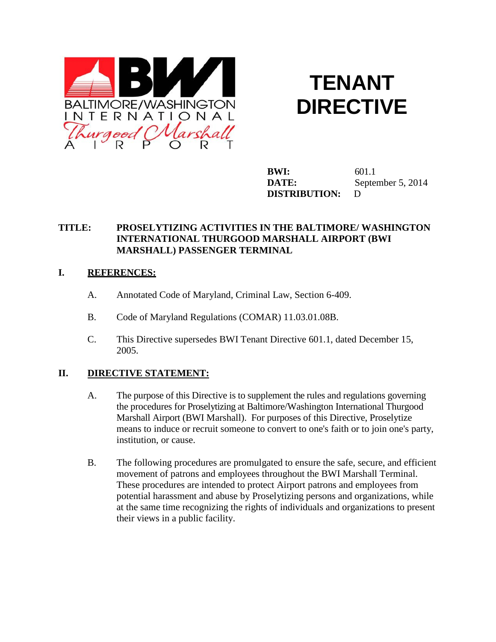

# **TENANT DIRECTIVE**

**BWI:** 601.1 **DATE:** September 5, 2014 **DISTRIBUTION:** D

## **TITLE: PROSELYTIZING ACTIVITIES IN THE BALTIMORE/ WASHINGTON INTERNATIONAL THURGOOD MARSHALL AIRPORT (BWI MARSHALL) PASSENGER TERMINAL**

#### **I. REFERENCES:**

- A. Annotated Code of Maryland, Criminal Law, Section 6-409.
- B. Code of Maryland Regulations (COMAR) 11.03.01.08B.
- C. This Directive supersedes BWI Tenant Directive 601.1, dated December 15, 2005.

## **II. DIRECTIVE STATEMENT:**

- A. The purpose of this Directive is to supplement the rules and regulations governing the procedures for Proselytizing at Baltimore/Washington International Thurgood Marshall Airport (BWI Marshall). For purposes of this Directive, Proselytize means to induce or recruit someone to convert to one's faith or to join one's party, institution, or cause.
- B. The following procedures are promulgated to ensure the safe, secure, and efficient movement of patrons and employees throughout the BWI Marshall Terminal. These procedures are intended to protect Airport patrons and employees from potential harassment and abuse by Proselytizing persons and organizations, while at the same time recognizing the rights of individuals and organizations to present their views in a public facility.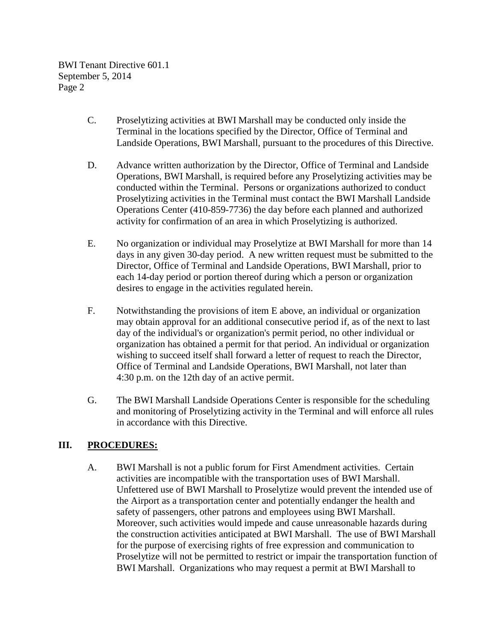- C. Proselytizing activities at BWI Marshall may be conducted only inside the Terminal in the locations specified by the Director, Office of Terminal and Landside Operations, BWI Marshall, pursuant to the procedures of this Directive.
- D. Advance written authorization by the Director, Office of Terminal and Landside Operations, BWI Marshall, is required before any Proselytizing activities may be conducted within the Terminal. Persons or organizations authorized to conduct Proselytizing activities in the Terminal must contact the BWI Marshall Landside Operations Center (410-859-7736) the day before each planned and authorized activity for confirmation of an area in which Proselytizing is authorized.
- E. No organization or individual may Proselytize at BWI Marshall for more than 14 days in any given 30-day period. A new written request must be submitted to the Director, Office of Terminal and Landside Operations, BWI Marshall, prior to each 14-day period or portion thereof during which a person or organization desires to engage in the activities regulated herein.
- F. Notwithstanding the provisions of item E above, an individual or organization may obtain approval for an additional consecutive period if, as of the next to last day of the individual's or organization's permit period, no other individual or organization has obtained a permit for that period. An individual or organization wishing to succeed itself shall forward a letter of request to reach the Director, Office of Terminal and Landside Operations, BWI Marshall, not later than 4:30 p.m. on the 12th day of an active permit.
- G. The BWI Marshall Landside Operations Center is responsible for the scheduling and monitoring of Proselytizing activity in the Terminal and will enforce all rules in accordance with this Directive.

## **III. PROCEDURES:**

A. BWI Marshall is not a public forum for First Amendment activities. Certain activities are incompatible with the transportation uses of BWI Marshall. Unfettered use of BWI Marshall to Proselytize would prevent the intended use of the Airport as a transportation center and potentially endanger the health and safety of passengers, other patrons and employees using BWI Marshall. Moreover, such activities would impede and cause unreasonable hazards during the construction activities anticipated at BWI Marshall. The use of BWI Marshall for the purpose of exercising rights of free expression and communication to Proselytize will not be permitted to restrict or impair the transportation function of BWI Marshall. Organizations who may request a permit at BWI Marshall to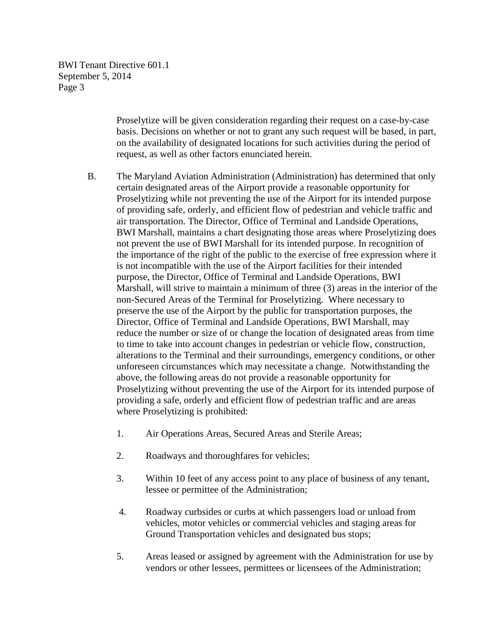> Proselytize will be given consideration regarding their request on a case-by-case basis. Decisions on whether or not to grant any such request will be based, in part, on the availability of designated locations for such activities during the period of request, as well as other factors enunciated herein.

- B. The Maryland Aviation Administration (Administration) has determined that only certain designated areas of the Airport provide a reasonable opportunity for Proselytizing while not preventing the use of the Airport for its intended purpose of providing safe, orderly, and efficient flow of pedestrian and vehicle traffic and air transportation. The Director, Office of Terminal and Landside Operations, BWI Marshall, maintains a chart designating those areas where Proselytizing does not prevent the use of BWI Marshall for its intended purpose. In recognition of the importance of the right of the public to the exercise of free expression where it is not incompatible with the use of the Airport facilities for their intended purpose, the Director, Office of Terminal and Landside Operations, BWI Marshall, will strive to maintain a minimum of three (3) areas in the interior of the non-Secured Areas of the Terminal for Proselytizing. Where necessary to preserve the use of the Airport by the public for transportation purposes, the Director, Office of Terminal and Landside Operations, BWI Marshall, may reduce the number or size of or change the location of designated areas from time to time to take into account changes in pedestrian or vehicle flow, construction, alterations to the Terminal and their surroundings, emergency conditions, or other unforeseen circumstances which may necessitate a change. Notwithstanding the above, the following areas do not provide a reasonable opportunity for Proselytizing without preventing the use of the Airport for its intended purpose of providing a safe, orderly and efficient flow of pedestrian traffic and are areas where Proselytizing is prohibited:
	- 1. Air Operations Areas, Secured Areas and Sterile Areas;
	- 2. Roadways and thoroughfares for vehicles;
	- 3. Within 10 feet of any access point to any place of business of any tenant, lessee or permittee of the Administration;
	- 4. Roadway curbsides or curbs at which passengers load or unload from vehicles, motor vehicles or commercial vehicles and staging areas for Ground Transportation vehicles and designated bus stops;
	- 5. Areas leased or assigned by agreement with the Administration for use by vendors or other lessees, permittees or licensees of the Administration;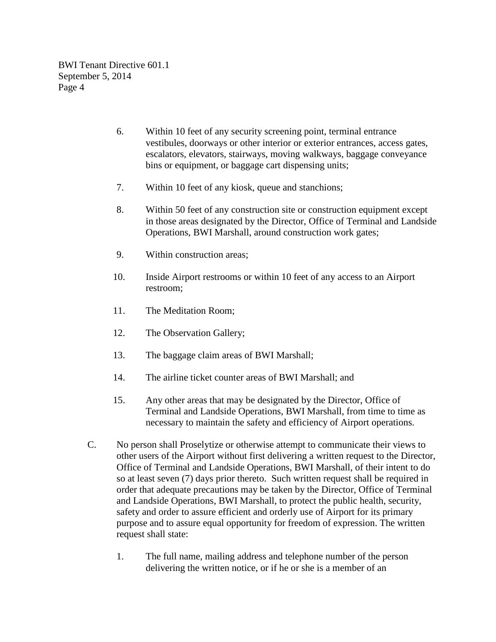- 6. Within 10 feet of any security screening point, terminal entrance vestibules, doorways or other interior or exterior entrances, access gates, escalators, elevators, stairways, moving walkways, baggage conveyance bins or equipment, or baggage cart dispensing units;
- 7. Within 10 feet of any kiosk, queue and stanchions;
- 8. Within 50 feet of any construction site or construction equipment except in those areas designated by the Director, Office of Terminal and Landside Operations, BWI Marshall, around construction work gates;
- 9. Within construction areas;
- 10. Inside Airport restrooms or within 10 feet of any access to an Airport restroom;
- 11. The Meditation Room;
- 12. The Observation Gallery;
- 13. The baggage claim areas of BWI Marshall;
- 14. The airline ticket counter areas of BWI Marshall; and
- 15. Any other areas that may be designated by the Director, Office of Terminal and Landside Operations, BWI Marshall, from time to time as necessary to maintain the safety and efficiency of Airport operations.
- C. No person shall Proselytize or otherwise attempt to communicate their views to other users of the Airport without first delivering a written request to the Director, Office of Terminal and Landside Operations, BWI Marshall, of their intent to do so at least seven (7) days prior thereto. Such written request shall be required in order that adequate precautions may be taken by the Director, Office of Terminal and Landside Operations, BWI Marshall, to protect the public health, security, safety and order to assure efficient and orderly use of Airport for its primary purpose and to assure equal opportunity for freedom of expression. The written request shall state:
	- 1. The full name, mailing address and telephone number of the person delivering the written notice, or if he or she is a member of an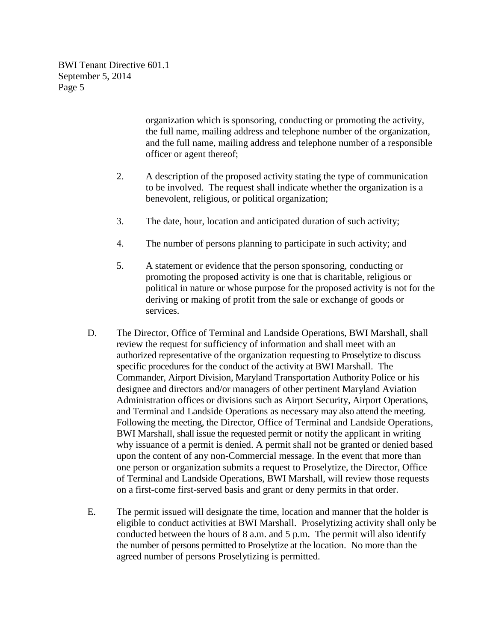> organization which is sponsoring, conducting or promoting the activity, the full name, mailing address and telephone number of the organization, and the full name, mailing address and telephone number of a responsible officer or agent thereof;

- 2. A description of the proposed activity stating the type of communication to be involved. The request shall indicate whether the organization is a benevolent, religious, or political organization;
- 3. The date, hour, location and anticipated duration of such activity;
- 4. The number of persons planning to participate in such activity; and
- 5. A statement or evidence that the person sponsoring, conducting or promoting the proposed activity is one that is charitable, religious or political in nature or whose purpose for the proposed activity is not for the deriving or making of profit from the sale or exchange of goods or services.
- D. The Director, Office of Terminal and Landside Operations, BWI Marshall, shall review the request for sufficiency of information and shall meet with an authorized representative of the organization requesting to Proselytize to discuss specific procedures for the conduct of the activity at BWI Marshall. The Commander, Airport Division, Maryland Transportation Authority Police or his designee and directors and/or managers of other pertinent Maryland Aviation Administration offices or divisions such as Airport Security, Airport Operations, and Terminal and Landside Operations as necessary may also attend the meeting. Following the meeting, the Director, Office of Terminal and Landside Operations, BWI Marshall, shall issue the requested permit or notify the applicant in writing why issuance of a permit is denied. A permit shall not be granted or denied based upon the content of any non-Commercial message. In the event that more than one person or organization submits a request to Proselytize, the Director, Office of Terminal and Landside Operations, BWI Marshall, will review those requests on a first-come first-served basis and grant or deny permits in that order.
- E. The permit issued will designate the time, location and manner that the holder is eligible to conduct activities at BWI Marshall. Proselytizing activity shall only be conducted between the hours of 8 a.m. and 5 p.m. The permit will also identify the number of persons permitted to Proselytize at the location. No more than the agreed number of persons Proselytizing is permitted.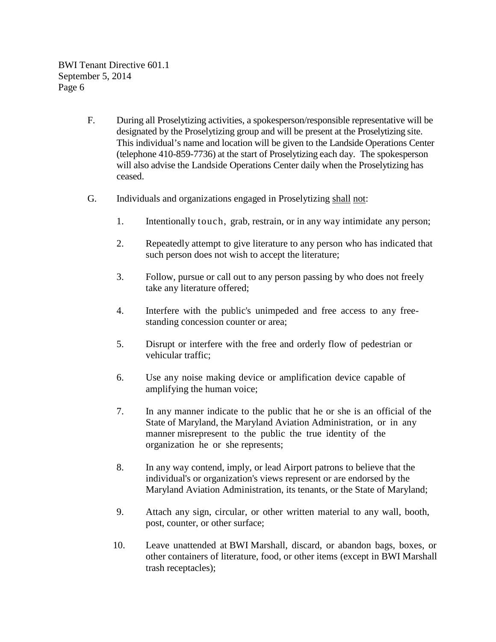- F. During all Proselytizing activities, a spokesperson/responsible representative will be designated by the Proselytizing group and will be present at the Proselytizing site. This individual's name and location will be given to the Landside Operations Center (telephone 410-859-7736) at the start of Proselytizing each day. The spokesperson will also advise the Landside Operations Center daily when the Proselytizing has ceased.
- G. Individuals and organizations engaged in Proselytizing shall not:
	- 1. Intentionally touch, grab, restrain, or in any way intimidate any person;
	- 2. Repeatedly attempt to give literature to any person who has indicated that such person does not wish to accept the literature;
	- 3. Follow, pursue or call out to any person passing by who does not freely take any literature offered;
	- 4. Interfere with the public's unimpeded and free access to any freestanding concession counter or area;
	- 5. Disrupt or interfere with the free and orderly flow of pedestrian or vehicular traffic;
	- 6. Use any noise making device or amplification device capable of amplifying the human voice;
	- 7. In any manner indicate to the public that he or she is an official of the State of Maryland, the Maryland Aviation Administration, or in any manner misrepresent to the public the true identity of the organization he or she represents;
	- 8. In any way contend, imply, or lead Airport patrons to believe that the individual's or organization's views represent or are endorsed by the Maryland Aviation Administration, its tenants, or the State of Maryland;
	- 9. Attach any sign, circular, or other written material to any wall, booth, post, counter, or other surface;
	- 10. Leave unattended at BWI Marshall, discard, or abandon bags, boxes, or other containers of literature, food, or other items (except in BWI Marshall trash receptacles);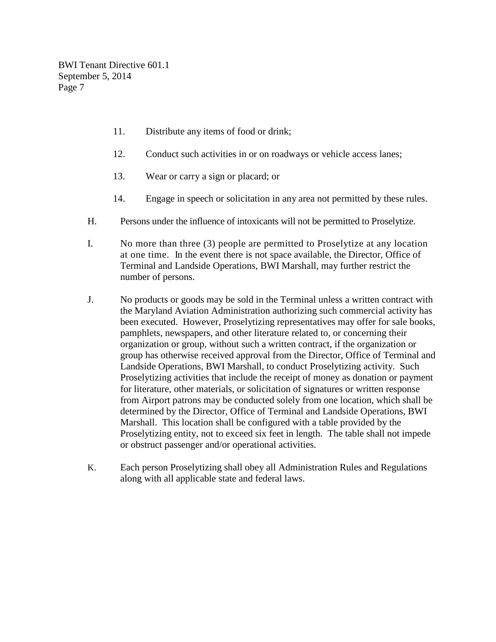- 11. Distribute any items of food or drink;
- 12. Conduct such activities in or on roadways or vehicle access lanes;
- 13. Wear or carry a sign or placard; or
- 14. Engage in speech or solicitation in any area not permitted by these rules.
- H. Persons under the influence of intoxicants will not be permitted to Proselytize.
- I. No more than three (3) people are permitted to Proselytize at any location at one time. In the event there is not space available, the Director, Office of Terminal and Landside Operations, BWI Marshall, may further restrict the number of persons.
- J. No products or goods may be sold in the Terminal unless a written contract with the Maryland Aviation Administration authorizing such commercial activity has been executed. However, Proselytizing representatives may offer for sale books, pamphlets, newspapers, and other literature related to, or concerning their organization or group, without such a written contract, if the organization or group has otherwise received approval from the Director, Office of Terminal and Landside Operations, BWI Marshall, to conduct Proselytizing activity. Such Proselytizing activities that include the receipt of money as donation or payment for literature, other materials, or solicitation of signatures or written response from Airport patrons may be conducted solely from one location, which shall be determined by the Director, Office of Terminal and Landside Operations, BWI Marshall. This location shall be configured with a table provided by the Proselytizing entity, not to exceed six feet in length. The table shall not impede or obstruct passenger and/or operational activities.
- K. Each person Proselytizing shall obey all Administration Rules and Regulations along with all applicable state and federal laws.